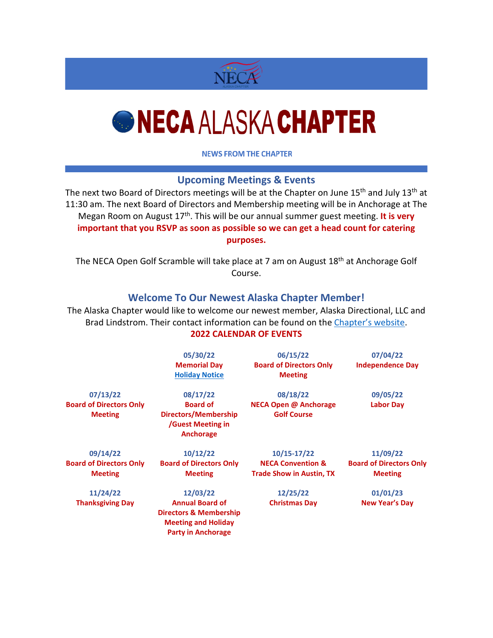

# *<u>ONECA ALASKA CHAPTER</u>*

**NEWS FROM THE CHAPTER** 

## **Upcoming Meetings & Events**

The next two Board of Directors meetings will be at the Chapter on June 15<sup>th</sup> and July 13<sup>th</sup> at 11:30 am. The next Board of Directors and Membership meeting will be in Anchorage at The Megan Room on August 17th. This will be our annual summer guest meeting. **It is very important that you RSVP as soon as possible so we can get a head count for catering purposes.**

The NECA Open Golf Scramble will take place at 7 am on August 18<sup>th</sup> at Anchorage Golf Course.

## **Welcome To Our Newest Alaska Chapter Member!**

The Alaska Chapter would like to welcome our newest member, Alaska Directional, LLC and Brad Lindstrom. Their contact information can be found on the [Chapter's website.](https://www.alaskaneca.org/contractors/) **2022 CALENDAR OF EVENTS**

|                                                  | 05/30/22<br><b>Memorial Day</b><br><b>Holiday Notice</b>                                                               | 06/15/22<br><b>Board of Directors Only</b><br><b>Meeting</b>    | 07/04/22<br><b>Independence Day</b>              |
|--------------------------------------------------|------------------------------------------------------------------------------------------------------------------------|-----------------------------------------------------------------|--------------------------------------------------|
| 07/13/22<br><b>Board of Directors Only</b>       | 08/17/22<br><b>Board of</b>                                                                                            | 08/18/22<br><b>NECA Open @ Anchorage</b>                        | 09/05/22<br><b>Labor Day</b>                     |
| <b>Meeting</b>                                   | Directors/Membership<br>/Guest Meeting in<br><b>Anchorage</b>                                                          | <b>Golf Course</b>                                              |                                                  |
| 09/14/22                                         | 10/12/22                                                                                                               | $10/15 - 17/22$                                                 | 11/09/22                                         |
| <b>Board of Directors Only</b><br><b>Meeting</b> | <b>Board of Directors Only</b><br><b>Meeting</b>                                                                       | <b>NECA Convention &amp;</b><br><b>Trade Show in Austin, TX</b> | <b>Board of Directors Only</b><br><b>Meeting</b> |
| 11/24/22                                         | 12/03/22                                                                                                               | 12/25/22                                                        | 01/01/23                                         |
| <b>Thanksgiving Day</b>                          | <b>Annual Board of</b><br><b>Directors &amp; Membership</b><br><b>Meeting and Holiday</b><br><b>Party in Anchorage</b> | <b>Christmas Day</b>                                            | New Year's Day                                   |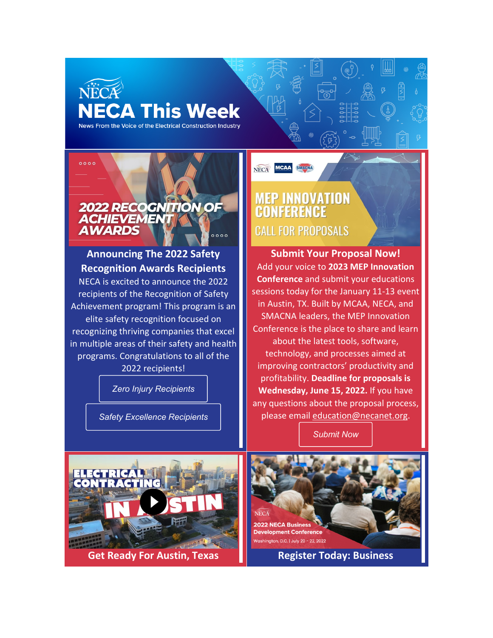# NECA **NECA This Week**

News From the Voice of the Electrical Construction Industry



# **Announcing The 2022 Safety Recognition Awards Recipients**

NECA is excited to announce the 2022 recipients of the Recognition of Safety Achievement program! This program is an elite safety recognition focused on recognizing thriving companies that excel in multiple areas of their safety and health programs. Congratulations to all of the 2022 recipients!

*Zero Injury [Recipients](https://www.necanet.org/membership/awards-recognition/recognition-of-safety-achievement-program/2022-recognition-of-achievement-of-zero-injury)*

*Safety [Excellence](https://www.necanet.org/membership/awards-recognition/recognition-of-safety-achievement-program/2022-recognition-of-achievement-in-safety-excellence) Recipients*

# **MEP INNOVATION<br>CONFERENCE CALL FOR PROPOSALS**

NECA MCAA SMACHA

**Submit Your Proposal Now!** Add your voice to **2023 MEP Innovation Conference** and submit your educations sessions today for the January 11-13 event in Austin, TX. Built by MCAA, NECA, and SMACNA leaders, the MEP Innovation Conference is the place to share and learn about the latest tools, software, technology, and processes aimed at improving contractors' productivity and profitability. **Deadline for proposals is Wednesday, June 15, 2022.** If you have any questions about the proposal process, please email [education@necanet.org.](mailto:education@necanet.org)

*[Submit](https://forms.monday.com/forms/ac67f71e8a914441e2c6203b05bace61?r=use1) Now*



**Get Ready For Austin, Texas Register Today: Business**